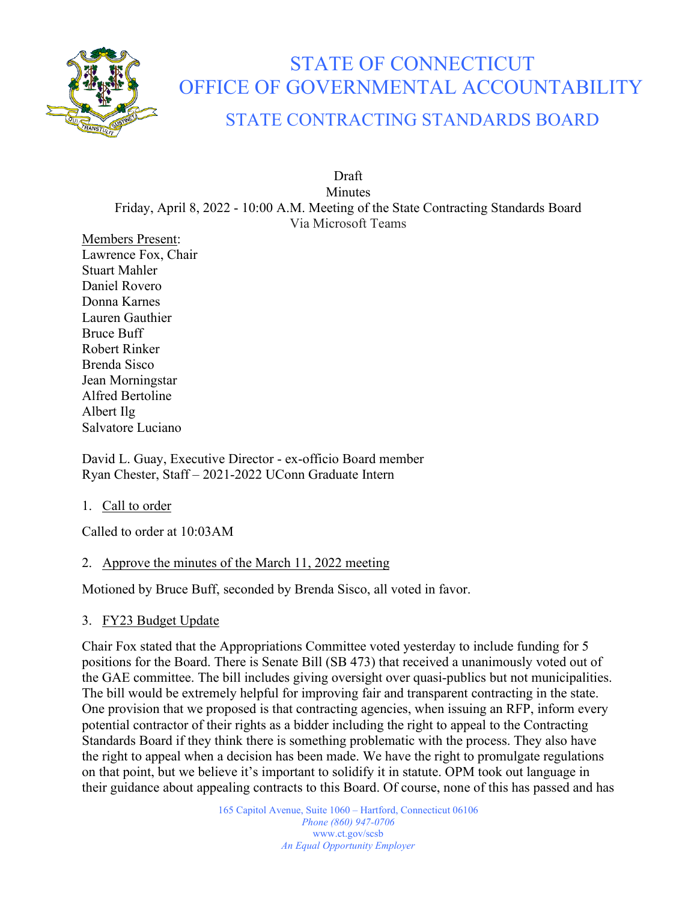

# STATE OF CONNECTICUT OFFICE OF GOVERNMENTAL ACCOUNTABILITY STATE CONTRACTING STANDARDS BOARD

Draft Minutes Friday, April 8, 2022 - 10:00 A.M. Meeting of the State Contracting Standards Board Via Microsoft Teams

Members Present: Lawrence Fox, Chair Stuart Mahler Daniel Rovero Donna Karnes Lauren Gauthier Bruce Buff Robert Rinker Brenda Sisco Jean Morningstar Alfred Bertoline Albert Ilg Salvatore Luciano

David L. Guay, Executive Director - ex-officio Board member Ryan Chester, Staff – 2021-2022 UConn Graduate Intern

1. Call to order

Called to order at 10:03AM

## 2. Approve the minutes of the March 11, 2022 meeting

Motioned by Bruce Buff, seconded by Brenda Sisco, all voted in favor.

## 3. FY23 Budget Update

Chair Fox stated that the Appropriations Committee voted yesterday to include funding for 5 positions for the Board. There is Senate Bill (SB 473) that received a unanimously voted out of the GAE committee. The bill includes giving oversight over quasi-publics but not municipalities. The bill would be extremely helpful for improving fair and transparent contracting in the state. One provision that we proposed is that contracting agencies, when issuing an RFP, inform every potential contractor of their rights as a bidder including the right to appeal to the Contracting Standards Board if they think there is something problematic with the process. They also have the right to appeal when a decision has been made. We have the right to promulgate regulations on that point, but we believe it's important to solidify it in statute. OPM took out language in their guidance about appealing contracts to this Board. Of course, none of this has passed and has

> 165 Capitol Avenue, Suite 1060 – Hartford, Connecticut 06106 *Phone (860) 947-0706*  www.ct.gov/scsb *An Equal Opportunity Employer*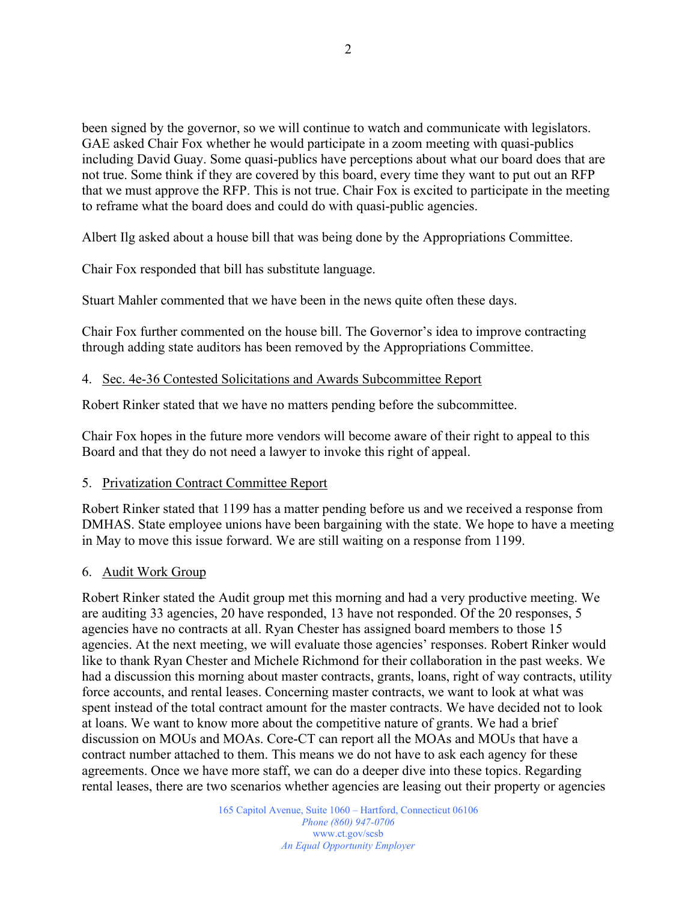been signed by the governor, so we will continue to watch and communicate with legislators. GAE asked Chair Fox whether he would participate in a zoom meeting with quasi-publics including David Guay. Some quasi-publics have perceptions about what our board does that are not true. Some think if they are covered by this board, every time they want to put out an RFP that we must approve the RFP. This is not true. Chair Fox is excited to participate in the meeting to reframe what the board does and could do with quasi-public agencies.

Albert Ilg asked about a house bill that was being done by the Appropriations Committee.

Chair Fox responded that bill has substitute language.

Stuart Mahler commented that we have been in the news quite often these days.

Chair Fox further commented on the house bill. The Governor's idea to improve contracting through adding state auditors has been removed by the Appropriations Committee.

#### 4. Sec. 4e-36 Contested Solicitations and Awards Subcommittee Report

Robert Rinker stated that we have no matters pending before the subcommittee.

Chair Fox hopes in the future more vendors will become aware of their right to appeal to this Board and that they do not need a lawyer to invoke this right of appeal.

#### 5. Privatization Contract Committee Report

Robert Rinker stated that 1199 has a matter pending before us and we received a response from DMHAS. State employee unions have been bargaining with the state. We hope to have a meeting in May to move this issue forward. We are still waiting on a response from 1199.

#### 6. Audit Work Group

Robert Rinker stated the Audit group met this morning and had a very productive meeting. We are auditing 33 agencies, 20 have responded, 13 have not responded. Of the 20 responses, 5 agencies have no contracts at all. Ryan Chester has assigned board members to those 15 agencies. At the next meeting, we will evaluate those agencies' responses. Robert Rinker would like to thank Ryan Chester and Michele Richmond for their collaboration in the past weeks. We had a discussion this morning about master contracts, grants, loans, right of way contracts, utility force accounts, and rental leases. Concerning master contracts, we want to look at what was spent instead of the total contract amount for the master contracts. We have decided not to look at loans. We want to know more about the competitive nature of grants. We had a brief discussion on MOUs and MOAs. Core-CT can report all the MOAs and MOUs that have a contract number attached to them. This means we do not have to ask each agency for these agreements. Once we have more staff, we can do a deeper dive into these topics. Regarding rental leases, there are two scenarios whether agencies are leasing out their property or agencies

> 165 Capitol Avenue, Suite 1060 – Hartford, Connecticut 06106 *Phone (860) 947-0706*  www.ct.gov/scsb *An Equal Opportunity Employer*